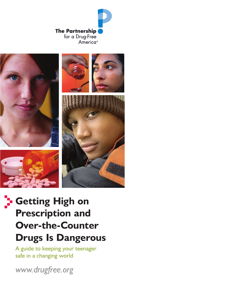







# **Getting High on Prescription and Over-the-Counter Drugs Is Dangerous**

A guide to keeping your teenager safe in a changing world

*www.drugfree.org*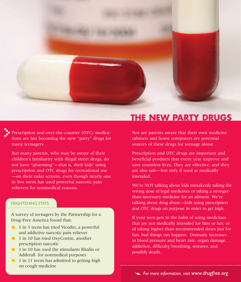

Prescription and over-the-counter (OTC) medications are fast becoming the new "party" drugs for many teenagers.

But many parents, who may be aware of their children's familiarity with illegal street drugs, do not have "pharming"—that is, their kids' using prescription and OTC drugs for recreational use —on their radar screens, even though nearly one in five teens has used powerful narcotic pain relievers for nonmedical reasons.

#### FRIGHTENING STATS

A survey of teenagers by the Partnership for a Drug-Free America found that:

- **1** in 5 teens has tried Vicodin, a powerful and addictive narcotic pain reliever
- **1** in 10 has tried OxyContin, another prescription narcotic
- **1** 1 in 10 has used the stimulants Ritalin or Adderall for nonmedical purposes
- $\blacksquare$  1 in 11 teens has admitted to getting high on cough medicine

## **THE NEW PARTY DRUGS**

Nor are parents aware that their own medicine cabinets and home computers are potential sources of these drugs for teenage abuse.

Prescription and OTC drugs are important and beneficial products that every year improve and save countless lives. They are effective, and they are also safe—but only if used as medically intended.

We're NOT talking about kids mistakenly taking the wrong dose of legal medicines or taking a strongerthan-necessary medicine for an ailment. We're talking about drug abuse—kids using prescription and OTC drugs on purpose in order to get high.

If your teen gets in the habit of using medicines that are not medically intended for him or her, or of taking higher-than-recommended doses just for fun, bad things can happen: Dramatic increases in blood pressure and heart rate, organ damage, addiction, difficulty breathing, seizures, and possibly death.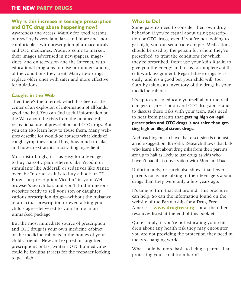#### **Why is this increase in teenage prescription and OTC drug abuse happening now?**

Awareness and access. Mainly for good reasons, our society is very familiar—and more and more comfortable—with prescription pharmaceuticals and OTC medicines. Products come to market, their images advertised in newspapers, magazines, and on television and the Internet, with educational programs to raise our understanding of the conditions they treat. Many new drugs replace older ones with safer and more effective formulations.

#### **Caught in the Web**

Then there's the Internet, which has been at the center of an explosion of information of all kinds, good and bad. You can find useful information on the Web about the risks from the nonmedical, recreational use of prescription and OTC drugs. But you can also learn how to abuse them. Many websites describe for would-be abusers what kinds of cough syrup they should buy, how much to take, and how to extract its intoxicating ingredient.

Most disturbingly, it is as easy for a teenager to buy narcotic pain relievers like Vicodin or stimulants like Adderall or sedatives like Xanax over the Internet as it is to buy a book or CD. Enter "no prescription Vicodin" in your Web browser's search bar, and you'll find numerous websites ready to sell your son or daughter various prescription drugs—without the nuisance of an actual prescription or even asking your child's age—delivered to your home in an unmarked package.

But the most immediate source of prescription and OTC drugs is your own medicine cabinet or the medicine cabinets in the homes of your child's friends. New and expired or forgotten prescriptions or last winter's OTC flu medicines could be inviting targets for the teenager looking to get high.

#### **What to Do?**

Some parents need to consider their own drug behavior. If you're casual about using prescription or OTC drugs, even if you're not looking to get high, you can set a bad example. Medications should be used by the person for whom they're prescribed, to treat the conditions for which they're prescribed. Don't use your kid's Ritalin to give you the energy and focus to complete a difficult work assignment. Regard these drugs seriously, and it's a good bet your child will, too. Start by taking an inventory of the drugs in your medicine cabinet.

It's up to you to educate yourself about the real dangers of prescription and OTC drug abuse and to discuss these risks with your teen. Kids need to hear from parents that **getting high on legal prescription and OTC drugs is not safer than getting high on illegal street drugs.**

And reaching out to have that discussion is not just an idle suggestion. It works. Research shows that kids who learn a lot about drug risks from their parents are up to half as likely to use drugs as kids who haven't had that conversation with Mom and Dad.

Unfortunately, research also shows that fewer parents today are talking to their teenagers about drugs than they were only a few years ago.

It's time to turn that stat around. This brochure can help. So can the information found on the website of the Partnership for a Drug-Free America—**www.drugfree.org**—or at the other resources listed at the end of this booklet.

Quite simply, if you're not educating your children about any health risk they may encounter, you are not providing the protection they need in today's changing world.

What could be more basic to being a parent than protecting your child from harm?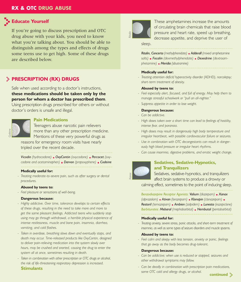#### **RX & OTC DRUG ABUSE**

#### **Educate Yourself**

If you're going to discuss prescription and OTC drug abuse with your kids, you need to know what you're talking about. You should be able to distinguish among the types and effects of drugs some teens use to get high. Some of these drugs are described below.

#### **PRESCRIPTION (RX) DRUGS**

Safe when used according to a doctor's instructions, **these medications should be taken only by the person for whom a doctor has prescribed them**. Using prescription drugs prescribed for others or without

doctor's orders is unsafe and illegal.



#### **Pain Medications**

Teenagers abuse narcotic pain relievers more than any other prescription medicine. Mentions of these very powerful drugs as

reasons for emergency room visits have nearly tripled over the recent decade.

*Vicodin (hydrocodone) OxyContin (oxycodone) Percocet (oxycodone and acetaminophen) Darvon (propoxyphene) Codeine*

#### **Medically useful for:**

*- Treating moderate-to-severe pain, such as after surgery or dental procedures.*

#### **Abused by teens to:**

*- Feel pleasure or sensations of well-being.*

#### **Dangerous because:**

- *Highly addictive. Over time, tolerance develops to certain effects of these drugs, resulting in the need to take more and more to get the same pleasant feelings. Addicted teens who suddenly stop using may go through withdrawal, a horrible physical experience of intense restlessness, muscle and bone pain, insomnia, diarrhea, vomiting, and cold flashes.*
- *Taken in overdose, breathing slows down and eventually stops, and death may occur. Time-released products like OxyContin, designed to deliver pain-relieving medication into the system slowly over hours, may be crushed and snorted, causing the drug to enter the system all at once, sometimes resulting in death.*
- *Taken in combination with other prescription or OTC drugs or alcohol, the risk of life-threatening respiratory depression is increased.*  **Stimulants**



These amphetamines increase the amounts of circulating brain chemicals that raise blood pressure and heart rate, speed up breathing, decrease appetite, and deprive the user of

sleep.

*Ritalin, Concerta (methylphenidate) Adderall (mixed amphetamine salts) Focalin (dexmethylphenidate) Dexedrine (dextroamphetamine) Meridia (sibutramine)*

#### **Medically useful for:**

*- Treating attention deficit/ hyperactivity disorder (ADHD), narcolepsy; short-term treatment of obesity.*

#### **Abused by teens to:**

- *Feel especially alert, focused, and full of energy. May help them to manage stressful schoolwork or "pull an all-nighter."*
- *Suppress appetite in order to lose weight.*

#### **Dangerous because:**

- *- Can be addictive.*
- *High doses taken over a short time can lead to feelings of hostility, intense fear, and paranoia.*
- *- High doses may result in dangerously high body temperature and irregular heartbeat, with possible cardiovascular failure or seizures.*
- *Use in combination with OTC decongestants can result in dangerously high blood pressure or irregular heart rhythms.*
- *Can cause insomnia, digestive problems, and erratic weight change.*



#### **Sedatives, Sedative-Hypnotics, and Tranquilizers**

Sedatives, sedative-hypnotics, and tranquilizers affect brain systems to produce a drowsy or

calming effect, sometimes to the point of inducing sleep.

*Benzodiazepine Receptor Agonists: Valium (diazepam) Xanax (alprazolam) Ativan (lorazepam) Klonopin (clonazepam) Restoril (temazepam) Ambien (zolpidem) Lunesta (eszopiclone) Barbiturates: Mebaral (mephobarbital) Nembutal (pentobarbital)*

#### **Medically useful for:**

*- Treating anxiety, severe stress, panic attacks, and short-term treatment of insomnia, as well as some types of seizure disorders and muscle spasms.*

#### **Abused by teens to:**

*- Feel calm and sleepy with less tension, anxiety or panic, feelings that go away as the body becomes drug-tolerant.* 

#### **Dangerous because:**

- *Can be addictive; when use is reduced or stopped, seizures and other withdrawal symptoms may follow.*
- *Can be deadly in combination with prescription pain medications, some OTC cold and allergy drugs, or alcohol.*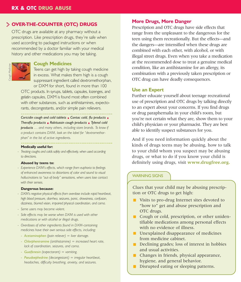### **OVER-THE-COUNTER (OTC) DRUGS**

OTC drugs are available at any pharmacy without a prescription. Like prescription drugs, they're safe when used according to packaged instructions or when recommended by a doctor familiar with your medical history and other medications you may be taking.



#### **Cough Medicines**

Teens can get high by taking cough medicine in excess. What makes them high is a cough suppressant ingredient called dextromethorphan, or DXM for short, found in more than 100

OTC products. In syrups, tablets, capsules, lozenges, and gelatin capsules, DXM is found most often combined with other substances, such as antihistamines, expectorants, decongestants, and/or simple pain relievers.

Coricidin cough and cold tablets **Contac cold, flu products E** *Theraflu products Robitussin cough products Tylenol cold products … and many others, including store brands. To know if a product contains DXM, look on the label for "dextromethorphan" in the list of active ingredients.*

**Medically useful for:**

- Treating coughs and colds safely and effectively, when used according *to directions.* 

#### **Abused by teens to:**

*- Experience DXM's effects, which range from euphoria to feelings of enhanced awareness to distortions of color and sound to visual hallucinations to "out-of-body" sensations, when users lose contact with their senses.*

#### **Dangerous because:**

- *DXM's negative physical effects from overdose include rapid heartbeat, high blood pressure, diarrhea, seizures, panic, drowsiness, confusion, dizziness, blurred vision, impaired physical coordination, and coma.*
- *- Some users may become violent.*
- *Side effects may be worse when DXM is used with other medications or with alcohol or illegal drugs.*
- *Overdoses of other ingredients found in DXM-containing medicines have their own serious side effects, including:* 
	- *Acetaminophen (pain reliever) = liver damage.*
	- *Chlorpheniramine (antihistamine) = increased heart rate, lack of coordination, seizures, and coma.*
	- *Guaifenesin (expectorant) = vomiting.*
	- *Pseudoephedrine (decongestant) = irregular heartbeat, headaches, difficulty breathing, anxiety, and seizures.*

#### **More Drugs, More Danger**

Prescription and OTC drugs have side effects that range from the unpleasant to the dangerous for the teen using them recreationally. But the effects—and the dangers—are intensified when these drugs are combined with each other, with alcohol, or with illegal street drugs. Even when you take a medication at the recommended dose to treat a genuine medical condition, like an antihistamine for an allergy, its combination with a previously taken prescription or OTC drug can have deadly consequences.

#### **Use an Expert**

Further educate yourself about teenage recreational use of prescription and OTC drugs by talking directly to an expert about your concerns. If you find drugs or drug paraphernalia in your child's room, but you're not certain what they are, show them to your child's physician or your pharmacist. They are best able to identify suspect substances for you.

And if you need information quickly about the kinds of drugs teens may be abusing, how to talk to your child whom you suspect may be abusing drugs, or what to do if you know your child is definitely using drugs, visit **www.drugfree.org.**

#### WARNING SIGNS

Clues that your child may be abusing prescription or OTC drugs to get high:

- Visits to pro-drug Internet sites devoted to "how to" get and abuse prescription and OTC drugs.
- Cough or cold, prescription, or other unidentifiable medications among personal effects with no evidence of illness.
- **Unexplained disappearance of medicines** from medicine cabinet.
- Declining grades: loss of interest in hobbies and usual activities.
- **Changes in friends, physical appearance,** hygiene, and general behavior.
- Disrupted eating or sleeping patterns.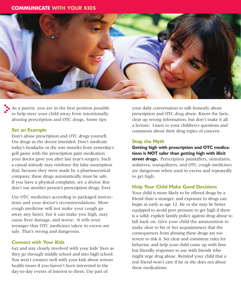#### **COMMUNICATE WITH YOUR KIDS**



 $\blacksquare$  As a parent, you are in the best position possible to help steer your child away from intentionally abusing prescription and OTC drugs. Some tips:

#### **Set an Example**

Don't abuse prescription and OTC drugs yourself. Use drugs as the doctor intended. Don't medicate today's headache or the sore muscles from yesterday's golf game with the prescription pain medication your doctor gave you after last year's surgery. Such a casual attitude may reinforce the false assumption that, because they were made by a pharmaceutical company, these drugs automatically must be safe. If you have a physical complaint, see a doctor. But don't use another person's prescription drugs. Ever.

Use OTC medicines according to packaged instructions and your doctor's recommendations. More cough medicine will not make your cough go away any faster, but it can make you high, may cause liver damage, and worse: It tells your teenager that OTC medicines taken in excess are safe. That's wrong and dangerous.

#### **Connect with Your Kids**

Get and stay closely involved with your kids' lives as they go through middle school and into high school. You won't connect well with your kids about serious health issues if you haven't been interested in the day-to-day events of interest to them. Use part of

your daily conversation to talk honestly about prescription and OTC drug abuse. Know the facts, clear up wrong information, but don't make it all a lecture: Listen to your children's questions and comments about their drug topics of concern.

#### **Stop the Myth**

**Getting high with prescription and OTC medications is NOT safer than getting high with illicit street drugs.** Prescription painkillers, stimulants, sedatives, tranquilizers, and OTC cough medicines are dangerous when used in excess and repeatedly to get high.

#### **Help Your Child Make Good Decisions**

Your child is more likely to be offered drugs by a friend than a stranger, and exposure to drugs can begin as early as age 12. He or she may be better equipped to avoid peer pressure to get high if there is a solid, explicit family policy against drug abuse to fall back on. Give your child the ammunition to make clear to his or her acquaintances that the consequences from abusing these drugs are too severe to risk it. Set clear and consistent rules for behavior, and help your child come up with firm but friendly responses to use with friends who might urge drug abuse. Remind your child that a real friend won't care if he or she does not abuse these medications.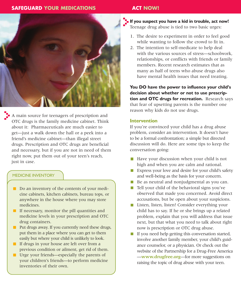#### **SAFEGUARD YOUR MEDICATIONS ACT NOW!**



A main source for teenagers of prescription and OTC drugs is the family medicine cabinet. Think about it: Pharmaceuticals are much easier to get—just a walk down the hall or a peek into a friend's medicine cabinet—than illegal street drugs. Prescription and OTC drugs are beneficial and necessary, but if you are not in need of them right now, put them out of your teen's reach, just in case.

#### MEDICINE INVENTORY

- Do an inventory of the contents of your medicine cabinets, kitchen cabinets, bureau tops, or anywhere in the house where you may store medicines.
- If necessary, monitor the pill quantities and medicine levels in your prescription and OTC drug containers.
- **Put drugs away. If you currently need these drugs,** put them in a place where you can get to them easily but where your child is unlikely to look.
- If drugs in your house are left over from a previous condition or ailment, get rid of them.
- Urge your friends—especially the parents of your children's friends—to perform medicine inventories of their own.

**If you suspect you have a kid in trouble, act now!** Teenage drug abuse is tied to two basic urges:

- 1. The desire to experiment in order to feel good while wanting to follow the crowd to fit in.
- 2. The intention to self-medicate to help deal with the various sources of stress—schoolwork, relationships, or conflicts with friends or family members. Recent research estimates that as many as half of teens who abuse drugs also have mental health issues that need treating.

**You DO have the power to influence your child's decision about whether or not to use prescription and OTC drugs for recreation.** Research says that fear of upsetting parents is the number one reason why kids do not use drugs.

#### **Intervention**

If you're convinced your child has a drug abuse problem, consider an intervention. It doesn't have to be a formal confrontation; a simple but directed discussion will do. Here are some tips to keep the conversation going:

- $\blacksquare$  Have your discussion when your child is not high and when you are calm and rational.
- Express your love and desire for your child's safety and well-being as the basis for your concern.
- Be as neutral and nonjudgmental as you can.
- Tell your child of the behavioral signs you've observed that made you concerned. Avoid direct accusations, but be open about your suspicions.
- Listen, listen, listen! Consider everything your child has to say. If he or she brings up a related problem, explain that you will address that issue next, but that what you need to talk about right now is prescription or OTC drug abuse.
- If you need help getting this conversation started, involve another family member, your child's guidance counselor, or a physician. Or check out the website of the Partnership for a Drug-Free America —**www.drugfree.org**—for more suggestions on raising the topic of drug abuse with your teen.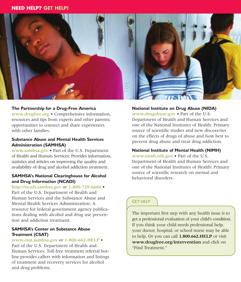#### **NEED HELP? GET HELP!**



#### **The Partnership for a Drug-Free America**

www.drugfree.org • Comprehensive information, resources and tips from experts and other parents; opportunities to connect and share experiences with other families.

#### **Substance Abuse and Mental Health Services Administration (SAMHSA)**

www.samhsa.gov • Part of the U.S. Department of Health and Human Services: Provides information, statistics and articles on improving the quality and availability of drug and alcohol addiction treatment.

#### **SAMHSA's National Clearinghouse for Alcohol and Drug Information (NCADI)**

http://ncadi.samhsa.gov or 1-800-729-6686 • Part of the U.S. Department of Health and Human Services and the Substance Abuse and Mental Health Services Administration: A resource for federal government agency publications dealing with alcohol and drug use prevention and addiction treatment.

#### **SAMHSA's Center on Substance Abuse Treatment (CSAT)**

www.csat.samhsa.gov or 1-800-662-HELP • Part of the U.S. Department of Health and Human Services: Toll-free treatment referral hotline provides callers with information and listings of treatment and recovery services for alcohol and drug problems.

#### **National Institute on Drug Abuse (NIDA)**

www.drugabuse.gov • Part of the U.S. Department of Health and Human Services and one of the National Institutes of Health: Primary source of scientific studies and new discoveries on the effects of drugs of abuse and how best to prevent drug abuse and treat drug addiction.

#### **National Institute of Mental Health (NIMH)**

www.nimh.nih.gov • Part of the U.S. Department of Health and Human Services and one of the National Institutes of Health: Primary source of scientific research on mental and behavioral disorders.

#### GET HELP

The important first step with any health issue is to get a professional evaluation of your child's condition. If you think your child needs professional help, your doctor, hospital, or school nurse may be able to help. Or you can call **1.800.662.HELP** or visit **www.drugfree.org/intervention** and click on "Find Treatment."